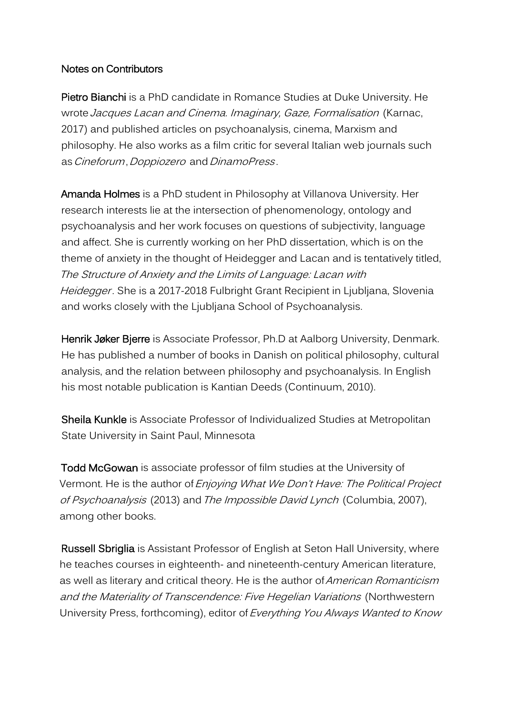## Notes on Contributors

Pietro Bianchi is a PhD candidate in Romance Studies at Duke University. He wrote Jacques Lacan and Cinema. Imaginary, Gaze, Formalisation (Karnac, 2017) and published articles on psychoanalysis, cinema, Marxism and philosophy. He also works as a film critic for several Italian web journals such as Cineforum, Doppiozero and DinamoPress.

Amanda Holmes is a PhD student in Philosophy at Villanova University. Her research interests lie at the intersection of phenomenology, ontology and psychoanalysis and her work focuses on questions of subjectivity, language and affect. She is currently working on her PhD dissertation, which is on the theme of anxiety in the thought of Heidegger and Lacan and is tentatively titled, The Structure of Anxiety and the Limits of Language: Lacan with Heidegger. She is a 2017-2018 Fulbright Grant Recipient in Ljubljana, Slovenia and works closely with the Ljubljana School of Psychoanalysis.

Henrik Jøker Bjerre is Associate Professor, Ph.D at Aalborg University, Denmark. He has published a number of books in Danish on political philosophy, cultural analysis, and the relation between philosophy and psychoanalysis. In English his most notable publication is Kantian Deeds (Continuum, 2010).

Sheila Kunkle is Associate Professor of Individualized Studies at Metropolitan State University in Saint Paul, Minnesota

Todd McGowan is associate professor of film studies at the University of Vermont. He is the author of *Enjoying What We Don't Have: The Political Project* of Psychoanalysis (2013) and The Impossible David Lynch (Columbia, 2007), among other books.

Russell Sbriglia is Assistant Professor of English at Seton Hall University, where he teaches courses in eighteenth- and nineteenth-century American literature, as well as literary and critical theory. He is the author of *American Romanticism* and the Materiality of Transcendence: Five Hegelian Variations (Northwestern University Press, forthcoming), editor of Everything You Always Wanted to Know